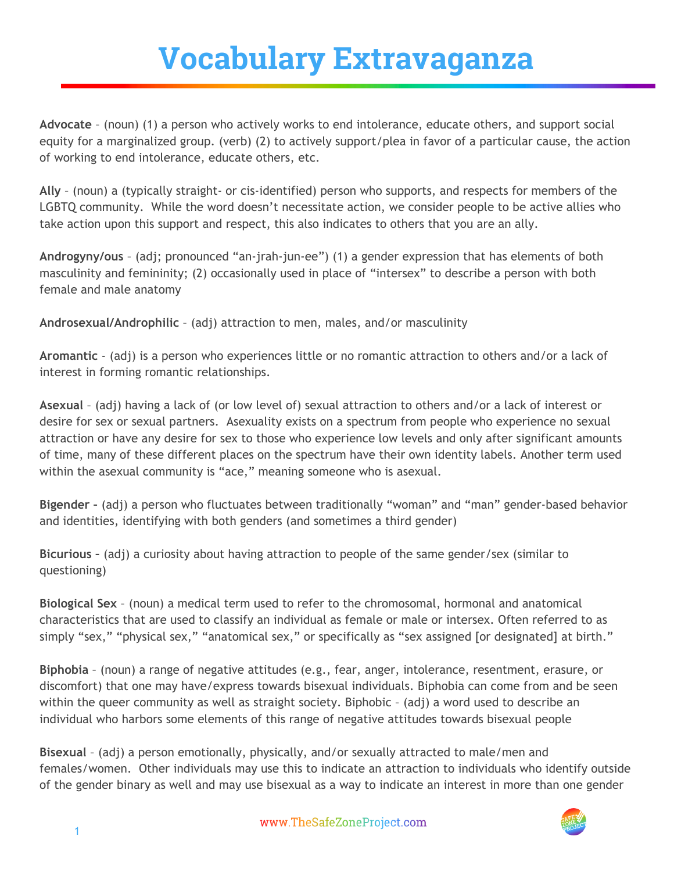## **Vocabulary Extravaganza**

**Advocate** – (noun) (1) a person who actively works to end intolerance, educate others, and support social equity for a marginalized group. (verb) (2) to actively support/plea in favor of a particular cause, the action of working to end intolerance, educate others, etc.

**Ally** – (noun) a (typically straight‐ or cis‐identified) person who supports, and respects for members of the LGBTQ community. While the word doesn't necessitate action, we consider people to be active allies who take action upon this support and respect, this also indicates to others that you are an ally.

**Androgyny/ous** – (adj; pronounced "an‐jrah‐jun‐ee") (1) a gender expression that has elements of both masculinity and femininity; (2) occasionally used in place of "intersex" to describe a person with both female and male anatomy

**Androsexual/Androphilic** – (adj) attraction to men, males, and/or masculinity

**Aromantic** ‐ (adj) is a person who experiences little or no romantic attraction to others and/or a lack of interest in forming romantic relationships.

**Asexual** – (adj) having a lack of (or low level of) sexual attraction to others and/or a lack of interest or desire for sex or sexual partners. Asexuality exists on a spectrum from people who experience no sexual attraction or have any desire for sex to those who experience low levels and only after significant amounts of time, many of these different places on the spectrum have their own identity labels. Another term used within the asexual community is "ace," meaning someone who is asexual.

**Bigender –** (adj) a person who fluctuates between traditionally "woman" and "man" gender‐based behavior and identities, identifying with both genders (and sometimes a third gender)

**Bicurious –** (adj) a curiosity about having attraction to people of the same gender/sex (similar to questioning)

**Biological Sex** – (noun) a medical term used to refer to the chromosomal, hormonal and anatomical characteristics that are used to classify an individual as female or male or intersex. Often referred to as simply "sex," "physical sex," "anatomical sex," or specifically as "sex assigned [or designated] at birth."

**Biphobia** – (noun) a range of negative attitudes (e.g., fear, anger, intolerance, resentment, erasure, or discomfort) that one may have/express towards bisexual individuals. Biphobia can come from and be seen within the queer community as well as straight society. Biphobic – (adj) a word used to describe an individual who harbors some elements of this range of negative attitudes towards bisexual people

**Bisexual** – (adj) a person emotionally, physically, and/or sexually attracted to male/men and females/women. Other individuals may use this to indicate an attraction to individuals who identify outside of the gender binary as well and may use bisexual as a way to indicate an interest in more than one gender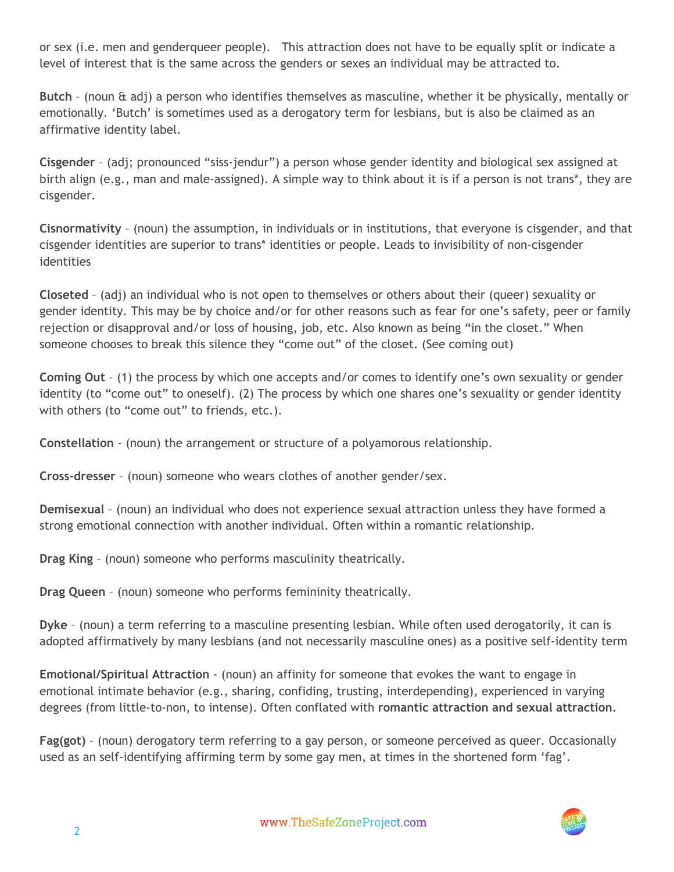or sex (i.e. men and genderqueer people). This attraction does not have to be equally split or indicate a level of interest that is the same across the genders or sexes an individual may be attracted to.

**Butch** – (noun & adj) a person who identifies themselves as masculine, whether it be physically, mentally or emotionally. 'Butch' is sometimes used as a derogatory term for lesbians, but is also be claimed as an affirmative identity label.

**Cisgender** – (adj; pronounced "siss‐jendur") a person whose gender identity and biological sex assigned at birth align (e.g., man and male‐assigned). A simple way to think about it is if a person is not trans\*, they are cisgender.

**Cisnormativity** – (noun) the assumption, in individuals or in institutions, that everyone is cisgender, and that cisgender identities are superior to trans\* identities or people. Leads to invisibility of non‐cisgender identities

**Closeted** – (adj) an individual who is not open to themselves or others about their (queer) sexuality or gender identity. This may be by choice and/or for other reasons such as fear for one's safety, peer or family rejection or disapproval and/or loss of housing, job, etc. Also known as being "in the closet." When someone chooses to break this silence they "come out" of the closet. (See coming out)

**Coming Out** – (1) the process by which one accepts and/or comes to identify one's own sexuality or gender identity (to "come out" to oneself). (2) The process by which one shares one's sexuality or gender identity with others (to "come out" to friends, etc.).

**Constellation** ‐ (noun) the arrangement or structure of a polyamorous relationship.

**Cross‐dresser** – (noun) someone who wears clothes of another gender/sex.

**Demisexual** – (noun) an individual who does not experience sexual attraction unless they have formed a strong emotional connection with another individual. Often within a romantic relationship.

**Drag King** – (noun) someone who performs masculinity theatrically.

**Drag Queen** – (noun) someone who performs femininity theatrically.

**Dyke** – (noun) a term referring to a masculine presenting lesbian. While often used derogatorily, it can is adopted affirmatively by many lesbians (and not necessarily masculine ones) as a positive self‐identity term

**Emotional/Spiritual Attraction** ‐ (noun) an affinity for someone that evokes the want to engage in emotional intimate behavior (e.g., sharing, confiding, trusting, interdepending), experienced in varying degrees (from little‐to‐non, to intense). Often conflated with **romantic attraction and sexual attraction.**

**Fag(got)** – (noun) derogatory term referring to a gay person, or someone perceived as queer. Occasionally used as an self-identifying affirming term by some gay men, at times in the shortened form 'fag'.

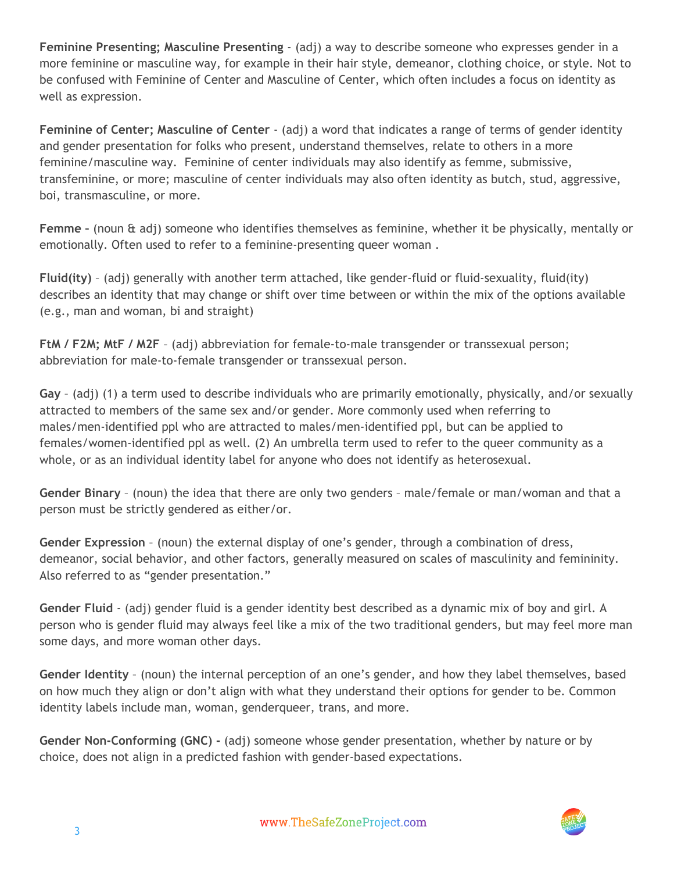**Feminine Presenting; Masculine Presenting** ‐ (adj) a way to describe someone who expresses gender in a more feminine or masculine way, for example in their hair style, demeanor, clothing choice, or style. Not to be confused with Feminine of Center and Masculine of Center, which often includes a focus on identity as well as expression.

**Feminine of Center; Masculine of Center** ‐ (adj) a word that indicates a range of terms of gender identity and gender presentation for folks who present, understand themselves, relate to others in a more feminine/masculine way. Feminine of center individuals may also identify as femme, submissive, transfeminine, or more; masculine of center individuals may also often identity as butch, stud, aggressive, boi, transmasculine, or more.

**Femme –** (noun & adj) someone who identifies themselves as feminine, whether it be physically, mentally or emotionally. Often used to refer to a feminine‐presenting queer woman .

**Fluid(ity)** – (adj) generally with another term attached, like gender‐fluid or fluid‐sexuality, fluid(ity) describes an identity that may change or shift over time between or within the mix of the options available (e.g., man and woman, bi and straight)

**FtM / F2M; MtF / M2F** – (adj) abbreviation for female‐to‐male transgender or transsexual person; abbreviation for male‐to‐female transgender or transsexual person.

**Gay** – (adj) (1) a term used to describe individuals who are primarily emotionally, physically, and/or sexually attracted to members of the same sex and/or gender. More commonly used when referring to males/men‐identified ppl who are attracted to males/men‐identified ppl, but can be applied to females/women-identified ppl as well. (2) An umbrella term used to refer to the queer community as a whole, or as an individual identity label for anyone who does not identify as heterosexual.

**Gender Binary** – (noun) the idea that there are only two genders – male/female or man/woman and that a person must be strictly gendered as either/or.

**Gender Expression** – (noun) the external display of one's gender, through a combination of dress, demeanor, social behavior, and other factors, generally measured on scales of masculinity and femininity. Also referred to as "gender presentation."

**Gender Fluid** ‐ (adj) gender fluid is a gender identity best described as a dynamic mix of boy and girl. A person who is gender fluid may always feel like a mix of the two traditional genders, but may feel more man some days, and more woman other days.

**Gender Identity** – (noun) the internal perception of an one's gender, and how they label themselves, based on how much they align or don't align with what they understand their options for gender to be. Common identity labels include man, woman, genderqueer, trans, and more.

**Gender Non‐Conforming (GNC) ‐** (adj) someone whose gender presentation, whether by nature or by choice, does not align in a predicted fashion with gender‐based expectations.

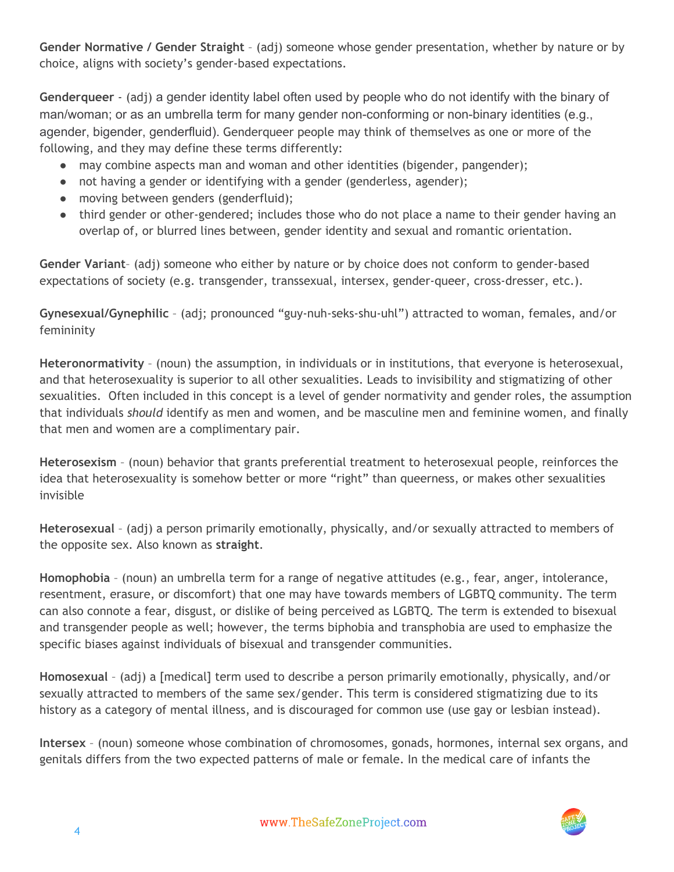**Gender Normative / Gender Straight** – (adj) someone whose gender presentation, whether by nature or by choice, aligns with society's gender‐based expectations.

**Genderqueer** ‐ (adj) a gender identity label often used by people who do not identify with the binary of man/woman; or as an umbrella term for many gender non-conforming or non-binary identities (e.g., agender, bigender, genderfluid). Genderqueer people may think of themselves as one or more of the following, and they may define these terms differently:

- may combine aspects man and woman and other identities (bigender, pangender);
- not having a gender or identifying with a gender (genderless, agender);
- moving between genders (genderfluid);
- third gender or other-gendered; includes those who do not place a name to their gender having an overlap of, or blurred lines between, gender identity and sexual and romantic orientation.

**Gender Variant**– (adj) someone who either by nature or by choice does not conform to gender‐based expectations of society (e.g. transgender, transsexual, intersex, gender‐queer, cross‐dresser, etc.).

**Gynesexual/Gynephilic** – (adj; pronounced "guy‐nuh‐seks‐shu‐uhl") attracted to woman, females, and/or femininity

**Heteronormativity** – (noun) the assumption, in individuals or in institutions, that everyone is heterosexual, and that heterosexuality is superior to all other sexualities. Leads to invisibility and stigmatizing of other sexualities. Often included in this concept is a level of gender normativity and gender roles, the assumption that individuals *should* identify as men and women, and be masculine men and feminine women, and finally that men and women are a complimentary pair.

**Heterosexism** – (noun) behavior that grants preferential treatment to heterosexual people, reinforces the idea that heterosexuality is somehow better or more "right" than queerness, or makes other sexualities invisible

**Heterosexual** – (adj) a person primarily emotionally, physically, and/or sexually attracted to members of the opposite sex. Also known as **straight**.

**Homophobia** – (noun) an umbrella term for a range of negative attitudes (e.g., fear, anger, intolerance, resentment, erasure, or discomfort) that one may have towards members of LGBTQ community. The term can also connote a fear, disgust, or dislike of being perceived as LGBTQ. The term is extended to bisexual and transgender people as well; however, the terms biphobia and transphobia are used to emphasize the specific biases against individuals of bisexual and transgender communities.

**Homosexual** – (adj) a [medical] term used to describe a person primarily emotionally, physically, and/or sexually attracted to members of the same sex/gender. This term is considered stigmatizing due to its history as a category of mental illness, and is discouraged for common use (use gay or lesbian instead).

**Intersex** – (noun) someone whose combination of chromosomes, gonads, hormones, internal sex organs, and genitals differs from the two expected patterns of male or female. In the medical care of infants the

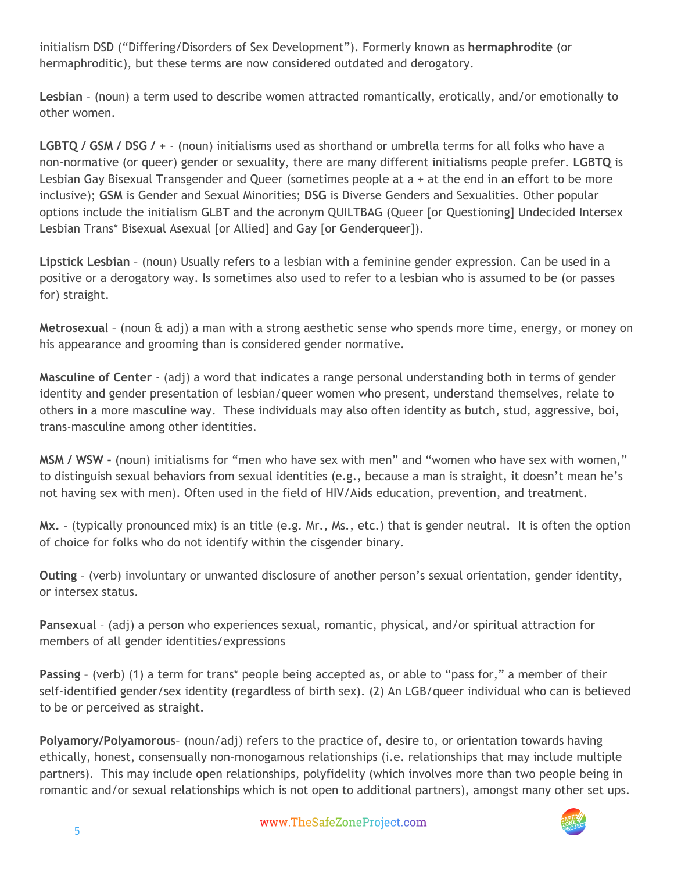initialism DSD ("Differing/Disorders of Sex Development"). Formerly known as **hermaphrodite** (or hermaphroditic), but these terms are now considered outdated and derogatory.

**Lesbian** – (noun) a term used to describe women attracted romantically, erotically, and/or emotionally to other women.

**LGBTQ / GSM / DSG / +** ‐ (noun) initialisms used as shorthand or umbrella terms for all folks who have a non‐normative (or queer) gender or sexuality, there are many different initialisms people prefer. **LGBTQ** is Lesbian Gay Bisexual Transgender and Queer (sometimes people at a + at the end in an effort to be more inclusive); **GSM** is Gender and Sexual Minorities; **DSG** is Diverse Genders and Sexualities. Other popular options include the initialism GLBT and the acronym QUILTBAG (Queer [or Questioning] Undecided Intersex Lesbian Trans\* Bisexual Asexual [or Allied] and Gay [or Genderqueer]).

**Lipstick Lesbian** – (noun) Usually refers to a lesbian with a feminine gender expression. Can be used in a positive or a derogatory way. Is sometimes also used to refer to a lesbian who is assumed to be (or passes for) straight.

**Metrosexual** – (noun & adj) a man with a strong aesthetic sense who spends more time, energy, or money on his appearance and grooming than is considered gender normative.

**Masculine of Center** ‐ (adj) a word that indicates a range personal understanding both in terms of gender identity and gender presentation of lesbian/queer women who present, understand themselves, relate to others in a more masculine way. These individuals may also often identity as butch, stud, aggressive, boi, trans‐masculine among other identities.

**MSM / WSW ‐** (noun) initialisms for "men who have sex with men" and "women who have sex with women," to distinguish sexual behaviors from sexual identities (e.g., because a man is straight, it doesn't mean he's not having sex with men). Often used in the field of HIV/Aids education, prevention, and treatment.

**Mx.** ‐ (typically pronounced mix) is an title (e.g. Mr., Ms., etc.) that is gender neutral. It is often the option of choice for folks who do not identify within the cisgender binary.

**Outing** – (verb) involuntary or unwanted disclosure of another person's sexual orientation, gender identity, or intersex status.

**Pansexual** – (adj) a person who experiences sexual, romantic, physical, and/or spiritual attraction for members of all gender identities/expressions

**Passing** – (verb) (1) a term for trans\* people being accepted as, or able to "pass for," a member of their self‐identified gender/sex identity (regardless of birth sex). (2) An LGB/queer individual who can is believed to be or perceived as straight.

**Polyamory/Polyamorous**– (noun/adj) refers to the practice of, desire to, or orientation towards having ethically, honest, consensually non-monogamous relationships (i.e. relationships that may include multiple partners). This may include open relationships, polyfidelity (which involves more than two people being in romantic and/or sexual relationships which is not open to additional partners), amongst many other set ups.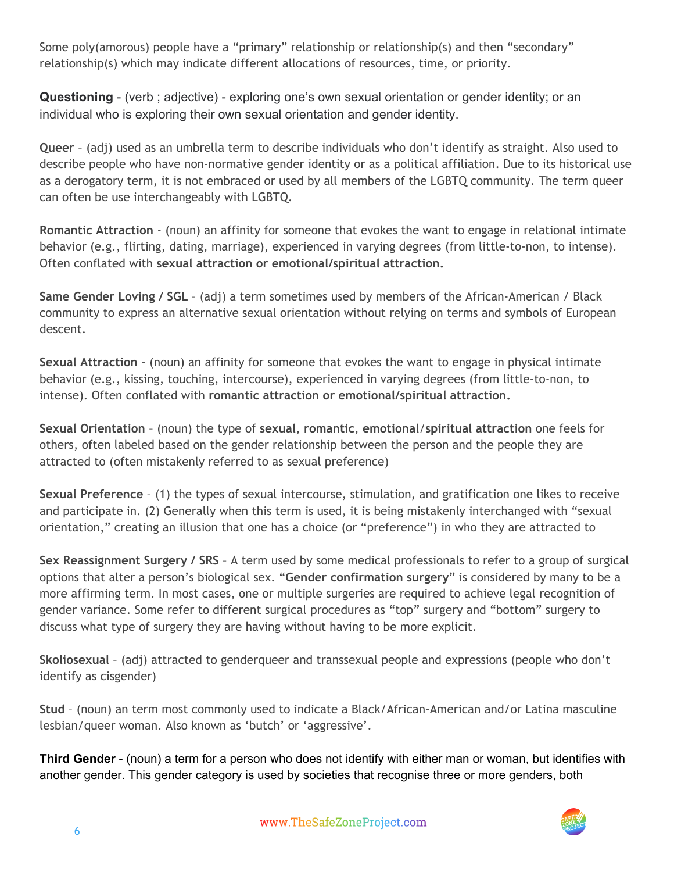Some poly(amorous) people have a "primary" relationship or relationship(s) and then "secondary" relationship(s) which may indicate different allocations of resources, time, or priority.

**Questioning** (verb ; adjective) exploring one's own sexual orientation or gender identity; or an individual who is exploring their own sexual orientation and gender identity.

**Queer** – (adj) used as an umbrella term to describe individuals who don't identify as straight. Also used to describe people who have non‐normative gender identity or as a political affiliation. Due to its historical use as a derogatory term, it is not embraced or used by all members of the LGBTQ community. The term queer can often be use interchangeably with LGBTQ.

**Romantic Attraction** ‐ (noun) an affinity for someone that evokes the want to engage in relational intimate behavior (e.g., flirting, dating, marriage), experienced in varying degrees (from little‐to‐non, to intense). Often conflated with **sexual attraction or emotional/spiritual attraction.**

**Same Gender Loving / SGL** – (adj) a term sometimes used by members of the African‐American / Black community to express an alternative sexual orientation without relying on terms and symbols of European descent.

**Sexual Attraction** ‐ (noun) an affinity for someone that evokes the want to engage in physical intimate behavior (e.g., kissing, touching, intercourse), experienced in varying degrees (from little‐to‐non, to intense). Often conflated with **romantic attraction or emotional/spiritual attraction.**

**Sexual Orientation** – (noun) the type of **sexual**, **romantic**, **emotional**/**spiritual attraction** one feels for others, often labeled based on the gender relationship between the person and the people they are attracted to (often mistakenly referred to as sexual preference)

**Sexual Preference** – (1) the types of sexual intercourse, stimulation, and gratification one likes to receive and participate in. (2) Generally when this term is used, it is being mistakenly interchanged with "sexual orientation," creating an illusion that one has a choice (or "preference") in who they are attracted to

**Sex Reassignment Surgery / SRS** – A term used by some medical professionals to refer to a group of surgical options that alter a person's biological sex. "**Gender confirmation surgery**" is considered by many to be a more affirming term. In most cases, one or multiple surgeries are required to achieve legal recognition of gender variance. Some refer to different surgical procedures as "top" surgery and "bottom" surgery to discuss what type of surgery they are having without having to be more explicit.

**Skoliosexual** – (adj) attracted to genderqueer and transsexual people and expressions (people who don't identify as cisgender)

**Stud** – (noun) an term most commonly used to indicate a Black/African‐American and/or Latina masculine lesbian/queer woman. Also known as 'butch' or 'aggressive'.

**Third Gender** (noun) a term for a person who does not identify with either man or woman, but identifies with another gender. This gender category is used by societies that recognise three or more genders, both